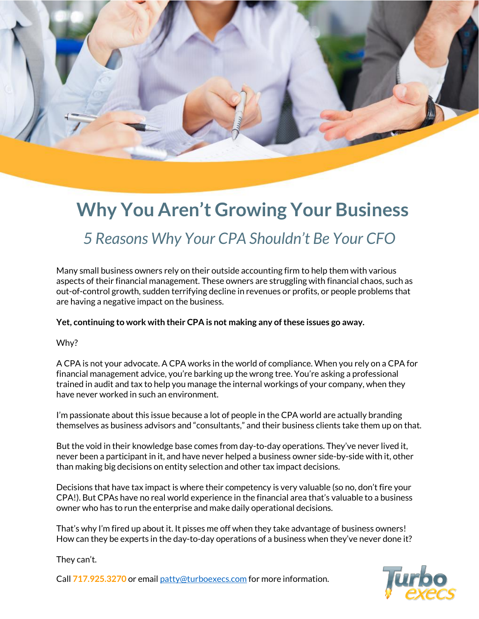

## **Why You Aren't Growing Your Business**  *5 Reasons Why Your CPA Shouldn't Be Your CFO*

Many small business owners rely on their outside accounting firm to help them with various aspects of their financial management. These owners are struggling with financial chaos, such as out-of-control growth, sudden terrifying decline in revenues or profits, or people problems that are having a negative impact on the business.

**Yet, continuing to work with their CPA is not making any ofthese issues go away.**

## Why?

A CPA is not your advocate. A CPA works in the world of compliance. When you rely on a CPA for financial management advice, you're barking up the wrong tree. You're asking a professional trained in audit and tax to help you manage the internal workings of your company, when they have never worked in such an environment.

I'm passionate about this issue because a lot of people in the CPA world are actually branding themselves as business advisors and "consultants," and their business clients take them up on that.

But the void in their knowledge base comes from day-to-day operations. They've never lived it, never been a participant in it, and have never helped a business owner side-by-side with it, other than making big decisions on entity selection and other tax impact decisions.

Decisions that have tax impact is where their competency is very valuable (so no, don't fire your CPA!). But CPAs have no real world experience in the financial area that's valuable to a business owner who has to run the enterprise and make daily operational decisions.

That's why I'm fired up about it. It pisses me off when they take advantage of business owners! How can they be experts in the day-to-day operations of a business when they've never done it?

They can't.

Call **717.925.3270** or email [patty@turboexecs.com](mailto:patty@turboexecs.com) for more information.

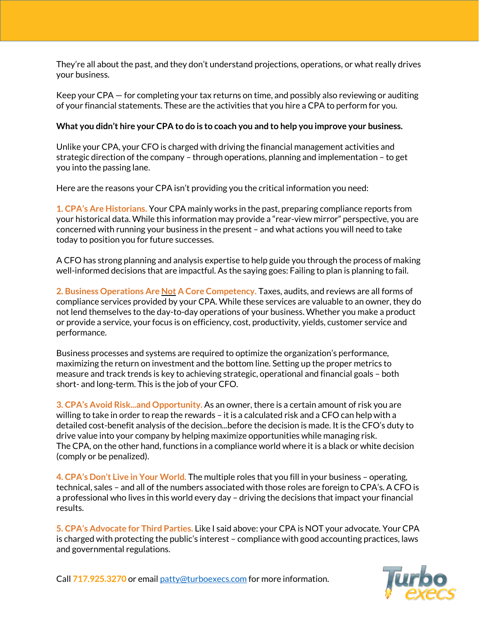They're all about the past, and they don't understand projections, operations, or what really drives your business.

Keep your CPA — for completing your tax returns on time, and possibly also reviewing or auditing of your financial statements. These are the activities that you hire a CPA to perform for you.

## **What you didn't hire your CPA to do is to coach you and to help you improve your business.**

Unlike your CPA, your CFO is charged with driving the financial management activities and strategic direction of the company – through operations, planning and implementation – to get you into the passing lane.

Here are the reasons your CPA isn't providing you the critical information you need:

**1. CPA's Are Historians.** Your CPA mainly works in the past, preparing compliance reports from your historical data. While this information may provide a "rear-view mirror" perspective, you are concerned with running your business in the present – and what actions you will need to take today to position you for future successes.

A CFO has strong planning and analysis expertise to help guide you through the process of making well-informed decisions that are impactful. As the saying goes: Failing to plan is planning to fail.

**2. Business Operations Are Not A Core Competency.** Taxes, audits, and reviews are all forms of compliance services provided by your CPA. While these services are valuable to an owner, they do not lend themselves to the day-to-day operations of your business. Whether you make a product or provide a service, your focus is on efficiency, cost, productivity, yields, customer service and performance.

Business processes and systems are required to optimize the organization's performance, maximizing the return on investment and the bottom line. Setting up the proper metrics to measure and track trends is key to achieving strategic, operational and financial goals – both short- and long-term. This is the job of your CFO.

**3. CPA's Avoid Risk...and Opportunity.** As an owner, there is a certain amount of risk you are willing to take in order to reap the rewards – it is a calculated risk and a CFO can help with a detailed cost-benefit analysis of the decision...before the decision is made. It is the CFO's duty to drive value into your company by helping maximize opportunities while managing risk. The CPA, on the other hand, functions in a compliance world where it is a black or white decision (comply or be penalized).

**4. CPA's Don't Live in Your World.** The multiple roles that you fill in your business – operating, technical, sales – and all of the numbers associated with those roles are foreign to CPA's. A CFO is a professional who lives in this world every day - driving the decisions that impact your financial results.

**5. CPA's Advocate for Third Parties.** Like I said above: your CPA is NOT your advocate. Your CPA is charged with protecting the public's interest – compliance with good accounting practices, laws and governmental regulations.

Call **717.925.3270** or email [patty@turboexecs.com](mailto:patty@turboexecs.com) for more information.